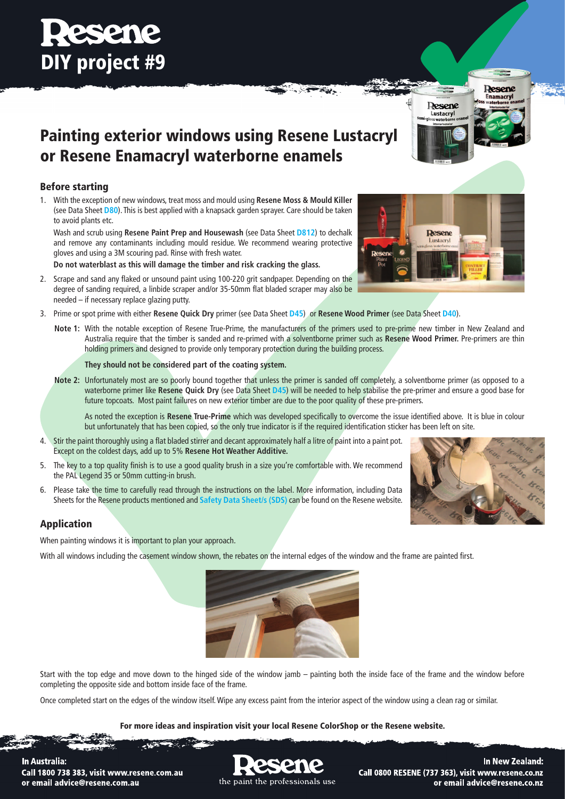## Painting exterior windows using Resene Lustacryl or Resene Enamacryl waterborne enamels

### Before starting

1. With the exception of new windows, treat moss and mould using **Resene Moss & Mould Killer**  (see Data Sheet **[D80](http://www.resene.co.nz/archspec/datashts/d80_Moss_&_Mould_Killer.pdf)**). This is best applied with a knapsack garden sprayer. Care should be taken to avoid plants etc.

Wash and scrub using **Resene Paint Prep and Housewash** (see Data Sheet **[D812](http://www.resene.co.nz/archspec/datashts/d812_Paint_Prep_Housewash.pdf)**) to dechalk and remove any contaminants including mould residue. We recommend wearing protective gloves and using a 3M scouring pad. Rinse with fresh water.

**Do not waterblast as this will damage the timber and risk cracking the glass.**

- 2. Scrape and sand any flaked or unsound paint using 100-220 grit sandpaper. Depending on the degree of sanding required, a linbide scraper and/or 35-50mm flat bladed scraper may also be needed – if necessary replace glazing putty.
- 3. Prime or spot prime with either **Resene Quick Dry** primer (see Data Sheet **[D45](http://www.resene.co.nz/archspec/datashts/d45_QuickDryPrimerUndercoat.pdf)**) or **Resene Wood Primer** (see Data Sheet **[D40](http://www.resene.co.nz/archspec/datashts/d40_Wood_Primer.pdf)**).
	- **Note 1:** With the notable exception of Resene True-Prime, the manufacturers of the primers used to pre-prime new timber in New Zealand and Australia require that the timber is sanded and re-primed with a solventborne primer such as **Resene Wood Primer.** Pre-primers are thin holding primers and designed to provide only temporary protection during the building process.

regi -

**They should not be considered part of the coating system.**

**Note 2:** Unfortunately most are so poorly bound together that unless the primer is sanded off completely, a solventborne primer (as opposed to a waterborne primer like **Resene Quick Dry** (see Data Sheet **[D45](http://www.resene.co.nz/archspec/datashts/d45_QuickDryPrimerUndercoat.pdf)**) will be needed to help stabilise the pre-primer and ensure a good base for future topcoats. Most paint failures on new exterior timber are due to the poor quality of these pre-primers.

As noted the exception is **Resene True-Prime** which was developed specifically to overcome the issue identified above. It is blue in colour but unfortunately that has been copied, so the only true indicator is if the required identification sticker has been left on site.

- 4. Stir the paint thoroughly using a flat bladed stirrer and decant approximately half a litre of paint into a paint pot. Except on the coldest days, add up to 5% **Resene Hot Weather Additive.**
- 5. The key to a top quality finish is to use a good quality brush in a size you're comfortable with. We recommend the PAL Legend 35 or 50mm cutting-in brush.
- 6. Please take the time to carefully read through the instructions on the label. More information, including Data Sheets for the Resene products mentioned and **[Safety Data Sheet/s \(SDS\)](http://www.resene.co.nz/archspec/msds/msdsindx.htm)** can be found on the Resene website.

### Application

When painting windows it is important to plan your approach.

With all windows including the casement window shown, the rebates on the internal edges of the window and the frame are painted first.

Start with the top edge and move down to the hinged side of the window jamb – painting both the inside face of the frame and the window before completing the opposite side and bottom inside face of the frame.

Once completed start on the edges of the window itself. Wipe any excess paint from the interior aspect of the window using a clean rag or similar.

#### For more ideas and inspiration visit your local Resene ColorShop or the Resene website.

**In Australia:** Call 1800 738 383, visit www.resene.com.au or email advice@resene.com.au



In New Zealand: Call 0800 RESENE (737 363), visit www.resene.co.nz or email advice@resene.co.nz





**Resene** Lustacryl

Desene

**Enamacryl**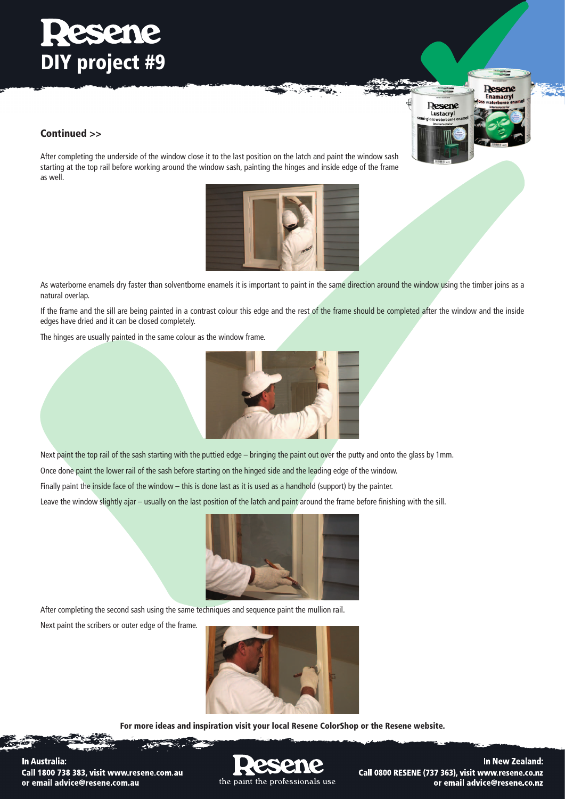# **Resene** DIY project #9

### Continued >>

After completing the underside of the window close it to the last position on the latch and paint the window sash starting at the top rail before working around the window sash, painting the hinges and inside edge of the frame as well.



 $\overline{\epsilon}_2$  .

As waterborne enamels dry faster than solventborne enamels it is important to paint in the same direction around the window using the timber joins as a natural overlap.

If the frame and the sill are being painted in a contrast colour this edge and the rest of the frame should be completed after the window and the inside edges have dried and it can be closed completely.

The hinges are usually painted in the same colour as the window frame.



Next paint the top rail of the sash starting with the puttied edge – bringing the paint out over the putty and onto the glass by 1mm.

Once done paint the lower rail of the sash before starting on the hinged side and the leading edge of the window.

Finally paint the inside face of the window – this is done last as it is used as a handhold (support) by the painter.

Leave the window slightly ajar – usually on the last position of the latch and paint around the frame before finishing with the sill.



After completing the second sash using the same techniques and sequence paint the mullion rail.

Next paint the scribers or outer edge of the frame.



For more ideas and inspiration visit your local Resene ColorShop or the Resene website.

In Australia: Call 1800 738 383, visit www.resene.com.au or email advice@resene.com.au

the paint the professionals use

In New Zealand: Call 0800 RESENE (737 363), visit www.resene.co.nz or email advice@resene.co.nz

Desene

**Enamacryl** 

**Resene** Lustacryl